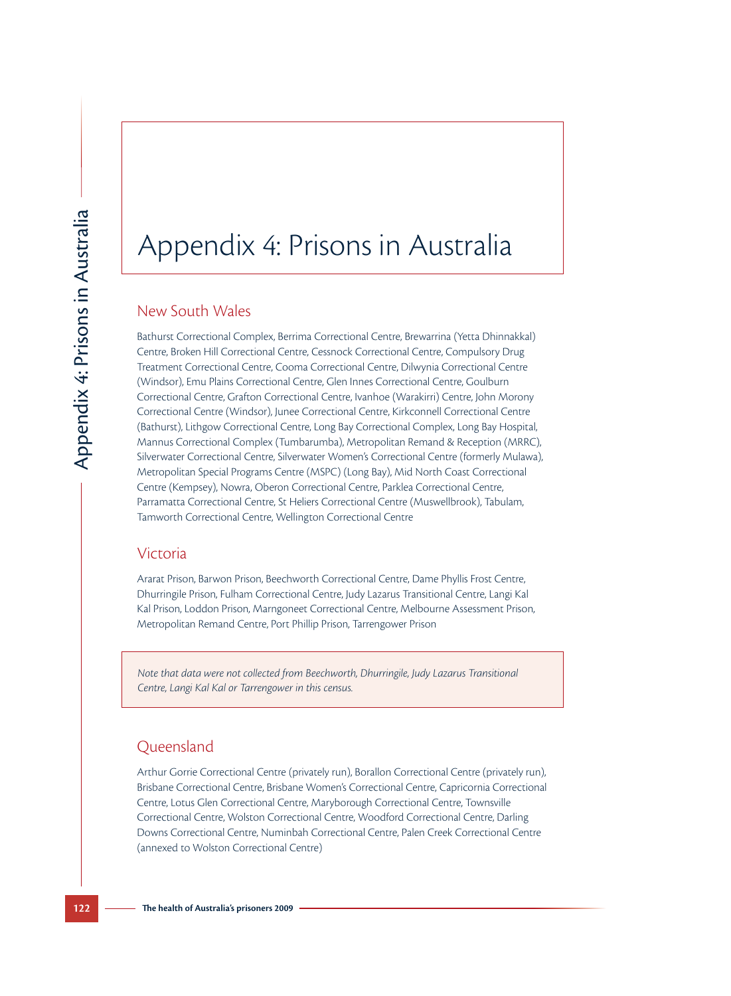# Appendix 4: Prisons in Australia

## New South Wales

**122 The health of Australia**'s prison, Beeching Contently, Contently, The health of Australia Correctional Centre, Compressioner Correctional Centre, Compressioner Correctional Centre, Contents (Surface Correctional Cen Bathurst Correctional Complex, Berrima Correctional Centre, Brewarrina (Yetta Dhinnakkal) Centre, Broken Hill Correctional Centre, Cessnock Correctional Centre, Compulsory Drug Treatment Correctional Centre, Cooma Correctional Centre, Dilwynia Correctional Centre (Windsor), Emu Plains Correctional Centre, Glen Innes Correctional Centre, Goulburn Correctional Centre, Grafton Correctional Centre, Ivanhoe (Warakirri) Centre, John Morony Correctional Centre (Windsor), Junee Correctional Centre, Kirkconnell Correctional Centre (Bathurst), Lithgow Correctional Centre, Long Bay Correctional Complex, Long Bay Hospital, Mannus Correctional Complex (Tumbarumba), Metropolitan Remand & Reception (MRRC), Silverwater Correctional Centre, Silverwater Women's Correctional Centre (formerly Mulawa), Metropolitan Special Programs Centre (MSPC) (Long Bay), Mid North Coast Correctional Centre (Kempsey), Nowra, Oberon Correctional Centre, Parklea Correctional Centre, Parramatta Correctional Centre, St Heliers Correctional Centre (Muswellbrook), Tabulam, Tamworth Correctional Centre, Wellington Correctional Centre

## Victoria

Ararat Prison, Barwon Prison, Beechworth Correctional Centre, Dame Phyllis Frost Centre, Dhurringile Prison, Fulham Correctional Centre, Judy Lazarus Transitional Centre, Langi Kal Kal Prison, Loddon Prison, Marngoneet Correctional Centre, Melbourne Assessment Prison, Metropolitan Remand Centre, Port Phillip Prison, Tarrengower Prison

*Note that data were not collected from Beechworth, Dhurringile, Judy Lazarus Transitional Centre, Langi Kal Kal or Tarrengower in this census.*

## Queensland

Arthur Gorrie Correctional Centre (privately run), Borallon Correctional Centre (privately run), Brisbane Correctional Centre, Brisbane Women's Correctional Centre, Capricornia Correctional Centre, Lotus Glen Correctional Centre, Maryborough Correctional Centre, Townsville Correctional Centre, Wolston Correctional Centre, Woodford Correctional Centre, Darling Downs Correctional Centre, Numinbah Correctional Centre, Palen Creek Correctional Centre (annexed to Wolston Correctional Centre)